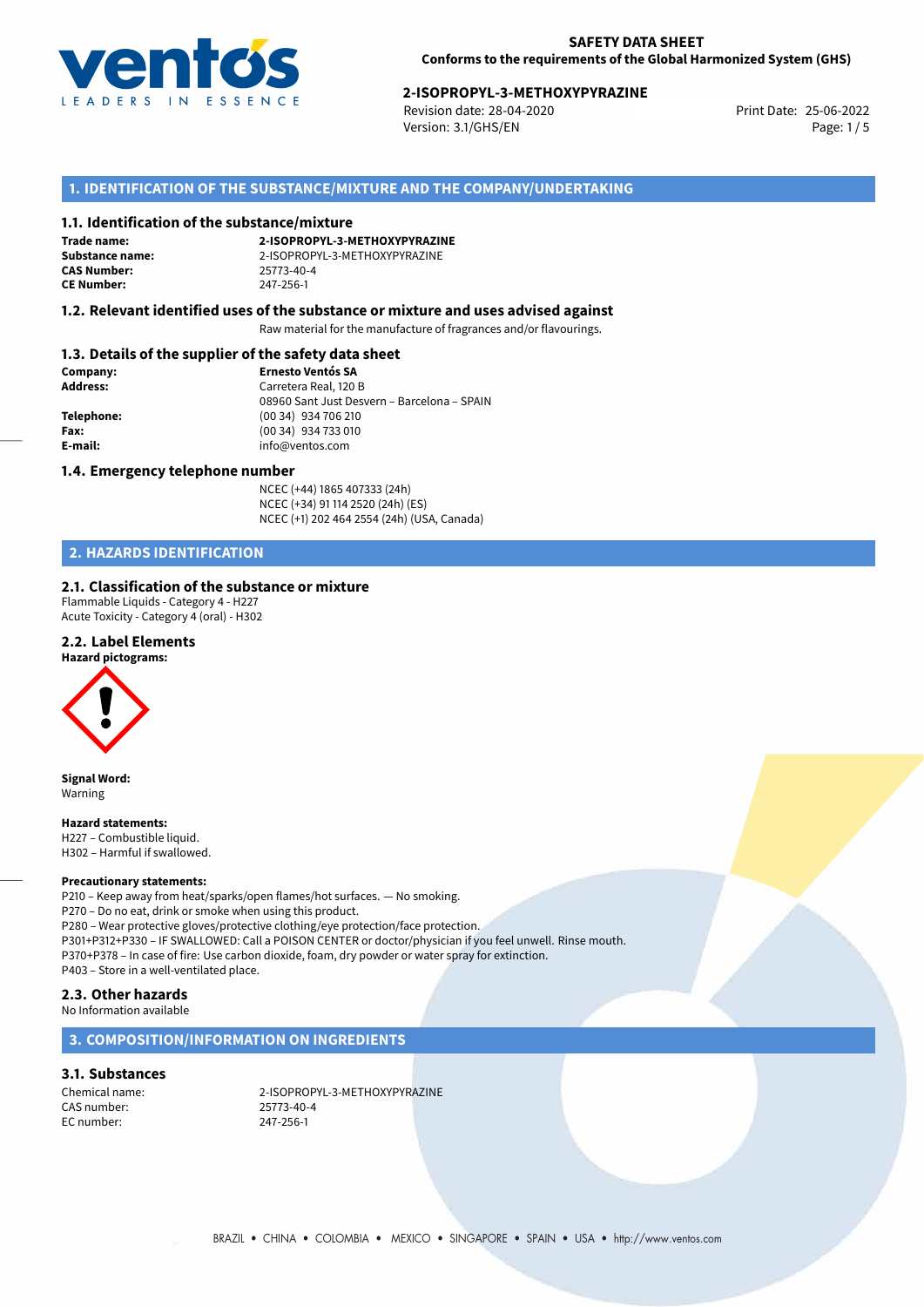

# 25-06-2022 **2-ISOPROPYL-3-METHOXYPYRAZINE**

Revision date: 28-04-2020 Version: 3.1/GHS/EN Page: 1 / 5

## **1. IDENTIFICATION OF THE SUBSTANCE/MIXTURE AND THE COMPANY/UNDERTAKING**

### **1.1. Identification of the substance/mixture**

**Trade name: CAS Number: CE Number:** 247-256-1

**2-ISOPROPYL-3-METHOXYPYRAZINE Substance name:** 2-ISOPROPYL-3-METHOXYPYRAZINE

### **1.2. Relevant identified uses of the substance or mixture and uses advised against**

Raw material for the manufacture of fragrances and/or flavourings.

### **1.3. Details of the supplier of the safety data sheet**

| Company:        | <b>Ernesto Ventós SA</b>                    |
|-----------------|---------------------------------------------|
| <b>Address:</b> | Carretera Real, 120 B                       |
|                 | 08960 Sant Just Desvern - Barcelona - SPAIN |
| Telephone:      | (00 34) 934 706 210                         |
| Fax:            | (00 34) 934 733 010                         |
| E-mail:         | info@ventos.com                             |
|                 |                                             |

### **1.4. Emergency telephone number**

NCEC (+44) 1865 407333 (24h) NCEC (+34) 91 114 2520 (24h) (ES) NCEC (+1) 202 464 2554 (24h) (USA, Canada)

# **2. HAZARDS IDENTIFICATION**

### **2.1. Classification of the substance or mixture**

Flammable Liquids - Category 4 - H227 Acute Toxicity - Category 4 (oral) - H302

## **2.2. Label Elements**

### **Hazard pictograms:**



**Signal Word:** Warning

### **Hazard statements:**

H227 – Combustible liquid. H302 – Harmful if swallowed.

### **Precautionary statements:**

P210 – Keep away from heat/sparks/open flames/hot surfaces. — No smoking. P270 – Do no eat, drink or smoke when using this product. P280 – Wear protective gloves/protective clothing/eye protection/face protection. P301+P312+P330 – IF SWALLOWED: Call a POISON CENTER or doctor/physician if you feel unwell. Rinse mouth. P370+P378 – In case of fire: Use carbon dioxide, foam, dry powder or water spray for extinction. P403 – Store in a well-ventilated place.

### **2.3. Other hazards**

No Information available

### **3. COMPOSITION/INFORMATION ON INGREDIENTS**

### **3.1. Substances**

CAS number: 25773-40-4 EC number: 247-256-1

Chemical name: 2-ISOPROPYL-3-METHOXYPYRAZINE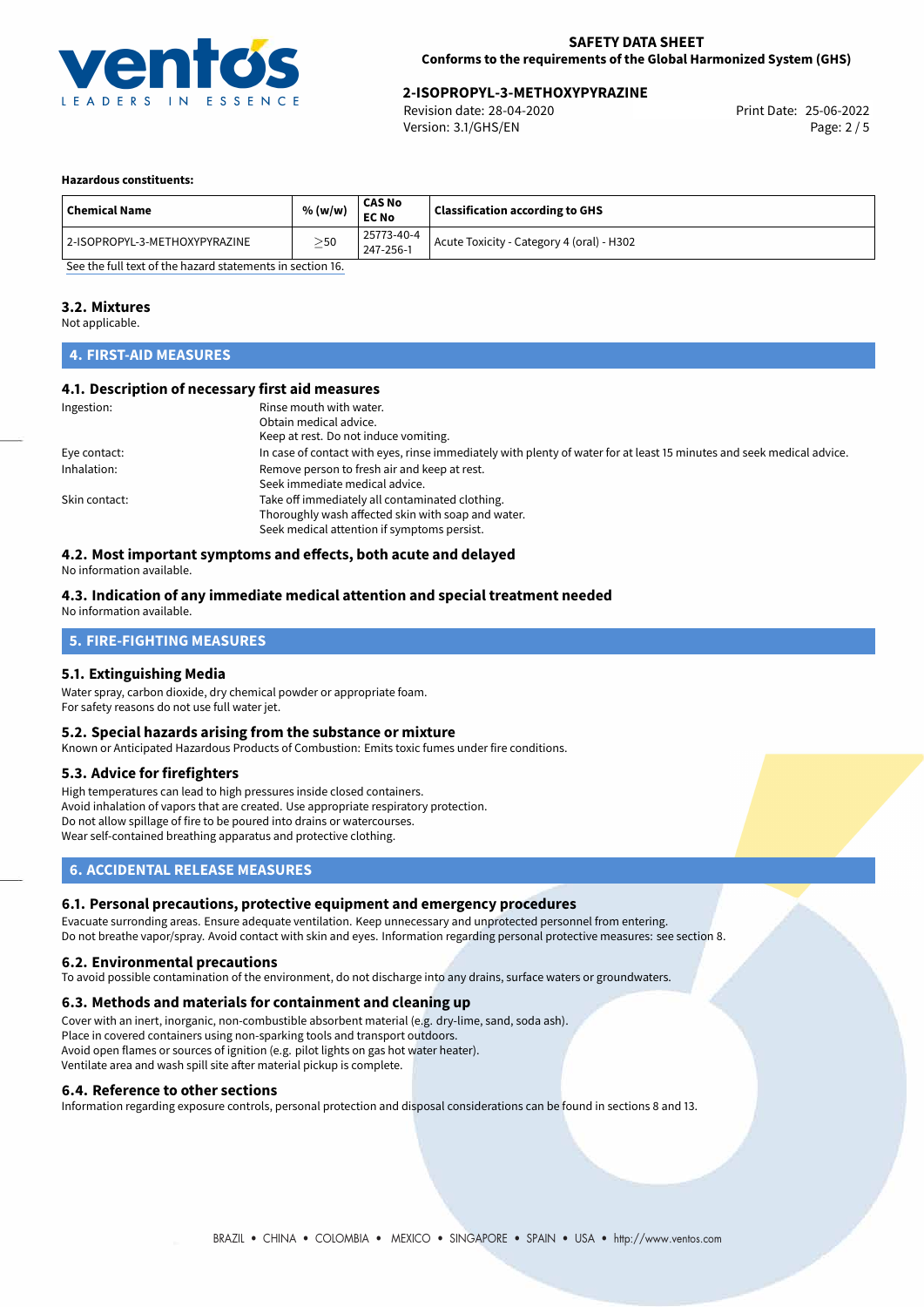

# 25-06-2022 **2-ISOPROPYL-3-METHOXYPYRAZINE**

Revision date: 28-04-2020 Version: 3.1/GHS/EN Page: 2 / 5

### **Hazardous constituents:**

| <b>Chemical Name</b>          | % (w/w)   | <b>CAS No</b><br><b>EC No</b> | <b>Classification according to GHS</b>    |
|-------------------------------|-----------|-------------------------------|-------------------------------------------|
| 2-ISOPROPYL-3-METHOXYPYRAZINE | $\geq$ 50 | 25773-40-4<br>247-256-1       | Acute Toxicity - Category 4 (oral) - H302 |

[See the full text of the hazard statements in section 16.](#page-4-0)

### **3.2. Mixtures**

Not applicable.

# **4. FIRST-AID MEASURES**

### **4.1. Description of necessary first aid measures**

| Ingestion:    | Rinse mouth with water.<br>Obtain medical advice.<br>Keep at rest. Do not induce vomiting.                                                           |
|---------------|------------------------------------------------------------------------------------------------------------------------------------------------------|
| Eye contact:  | In case of contact with eyes, rinse immediately with plenty of water for at least 15 minutes and seek medical advice.                                |
| Inhalation:   | Remove person to fresh air and keep at rest.<br>Seek immediate medical advice.                                                                       |
| Skin contact: | Take off immediately all contaminated clothing.<br>Thoroughly wash affected skin with soap and water.<br>Seek medical attention if symptoms persist. |

# **4.2. Most important symptoms and effects, both acute and delayed**

No information available.

#### **4.3. Indication of any immediate medical attention and special treatment needed** No information available.

# **5. FIRE-FIGHTING MEASURES**

### **5.1. Extinguishing Media**

Water spray, carbon dioxide, dry chemical powder or appropriate foam. For safety reasons do not use full water jet.

### **5.2. Special hazards arising from the substance or mixture**

Known or Anticipated Hazardous Products of Combustion: Emits toxic fumes under fire conditions.

### **5.3. Advice for firefighters**

High temperatures can lead to high pressures inside closed containers. Avoid inhalation of vapors that are created. Use appropriate respiratory protection. Do not allow spillage of fire to be poured into drains or watercourses. Wear self-contained breathing apparatus and protective clothing.

### **6. ACCIDENTAL RELEASE MEASURES**

### **6.1. Personal precautions, protective equipment and emergency procedures**

Evacuate surronding areas. Ensure adequate ventilation. Keep unnecessary and unprotected personnel from entering. Do not breathe vapor/spray. Avoid contact with skin and eyes. Information regarding personal protective measures: see section 8.

### **6.2. Environmental precautions**

To avoid possible contamination of the environment, do not discharge into any drains, surface waters or groundwaters.

### **6.3. Methods and materials for containment and cleaning up**

Cover with an inert, inorganic, non-combustible absorbent material (e.g. dry-lime, sand, soda ash). Place in covered containers using non-sparking tools and transport outdoors. Avoid open flames or sources of ignition (e.g. pilot lights on gas hot water heater). Ventilate area and wash spill site after material pickup is complete.

### **6.4. Reference to other sections**

Information regarding exposure controls, personal protection and disposal considerations can be found in sections 8 and 13.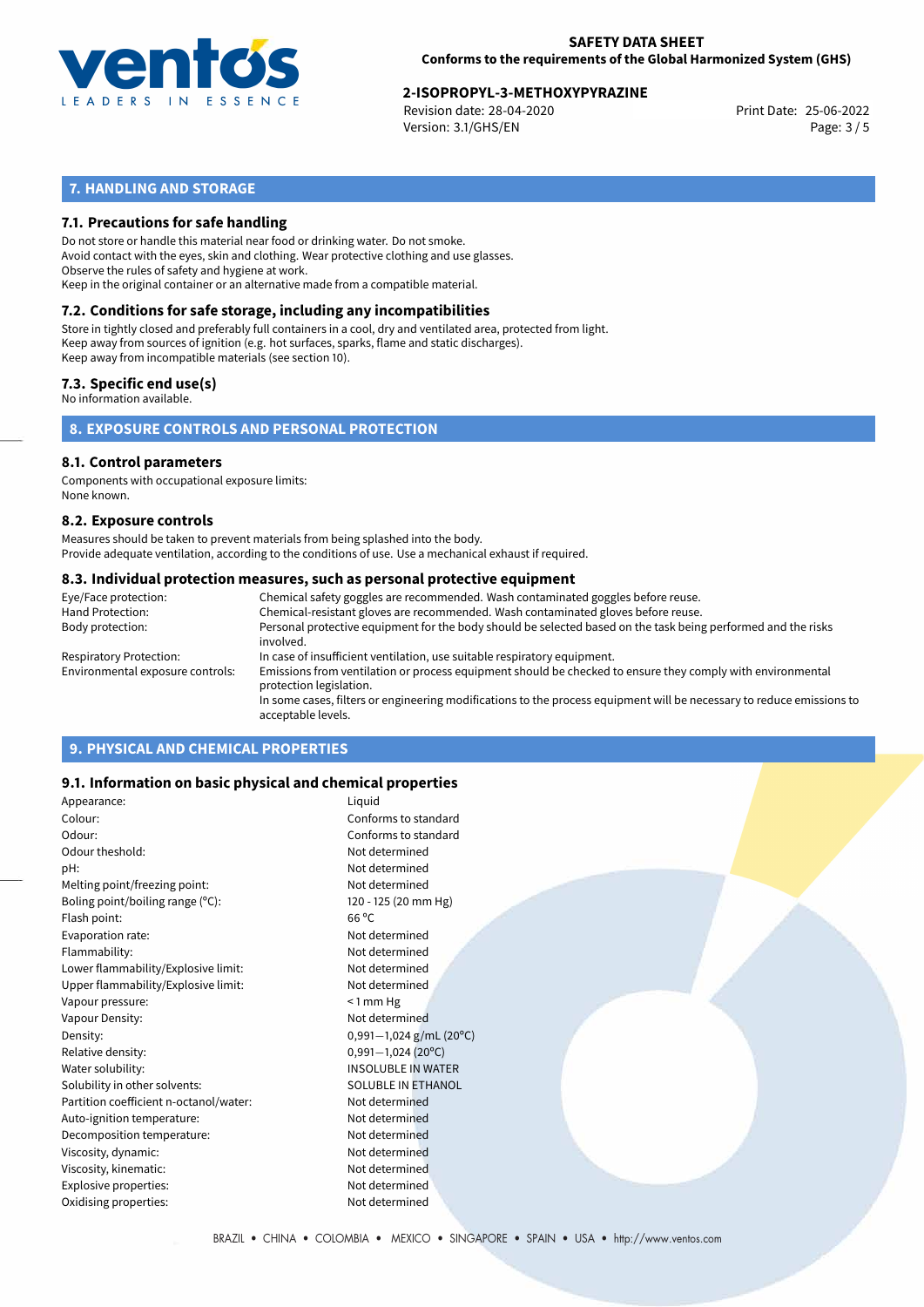

# 25-06-2022 **2-ISOPROPYL-3-METHOXYPYRAZINE**

Revision date: 28-04-2020 Version: 3.1/GHS/EN Page: 3 / 5

# **7. HANDLING AND STORAGE**

### **7.1. Precautions for safe handling**

Do not store or handle this material near food or drinking water. Do not smoke. Avoid contact with the eyes, skin and clothing. Wear protective clothing and use glasses. Observe the rules of safety and hygiene at work. Keep in the original container or an alternative made from a compatible material.

# **7.2. Conditions for safe storage, including any incompatibilities**

Store in tightly closed and preferably full containers in a cool, dry and ventilated area, protected from light. Keep away from sources of ignition (e.g. hot surfaces, sparks, flame and static discharges). Keep away from incompatible materials (see section 10).

### **7.3. Specific end use(s)**

No information available.

**8. EXPOSURE CONTROLS AND PERSONAL PROTECTION**

### **8.1. Control parameters**

Components with occupational exposure limits: None known.

### **8.2. Exposure controls**

Measures should be taken to prevent materials from being splashed into the body. Provide adequate ventilation, according to the conditions of use. Use a mechanical exhaust if required.

### **8.3. Individual protection measures, such as personal protective equipment**

| Eye/Face protection:             | Chemical safety goggles are recommended. Wash contaminated goggles before reuse.                                                            |
|----------------------------------|---------------------------------------------------------------------------------------------------------------------------------------------|
| Hand Protection:                 | Chemical-resistant gloves are recommended. Wash contaminated gloves before reuse.                                                           |
| Body protection:                 | Personal protective equipment for the body should be selected based on the task being performed and the risks<br>involved.                  |
| Respiratory Protection:          | In case of insufficient ventilation, use suitable respiratory equipment.                                                                    |
| Environmental exposure controls: | Emissions from ventilation or process equipment should be checked to ensure they comply with environmental<br>protection legislation.       |
|                                  | In some cases, filters or engineering modifications to the process equipment will be necessary to reduce emissions to<br>acceptable levels. |
|                                  |                                                                                                                                             |

# **9. PHYSICAL AND CHEMICAL PROPERTIES**

### **9.1. Information on basic physical and chemical properties**

| Appearance:                            | Liquid                    |
|----------------------------------------|---------------------------|
| Colour:                                | Conforms to standard      |
| Odour:                                 | Conforms to standard      |
| Odour theshold:                        | Not determined            |
| pH:                                    | Not determined            |
| Melting point/freezing point:          | Not determined            |
| Boling point/boiling range (°C):       | 120 - 125 (20 mm Hg)      |
| Flash point:                           | $66^{\circ}$ C            |
| Evaporation rate:                      | Not determined            |
| Flammability:                          | Not determined            |
| Lower flammability/Explosive limit:    | Not determined            |
| Upper flammability/Explosive limit:    | Not determined            |
| Vapour pressure:                       | $< 1$ mm Hg               |
| Vapour Density:                        | Not determined            |
| Density:                               | $0,991-1,024$ g/mL (20°C) |
| Relative density:                      | $0,991 - 1,024$ (20°C)    |
| Water solubility:                      | <b>INSOLUBLE IN WATER</b> |
| Solubility in other solvents:          | <b>SOLUBLE IN ETHANOL</b> |
| Partition coefficient n-octanol/water: | Not determined            |
| Auto-ignition temperature:             | Not determined            |
| Decomposition temperature:             | Not determined            |
| Viscosity, dynamic:                    | Not determined            |
| Viscosity, kinematic:                  | Not determined            |
| Explosive properties:                  | Not determined            |
| Oxidising properties:                  | Not determined            |
|                                        |                           |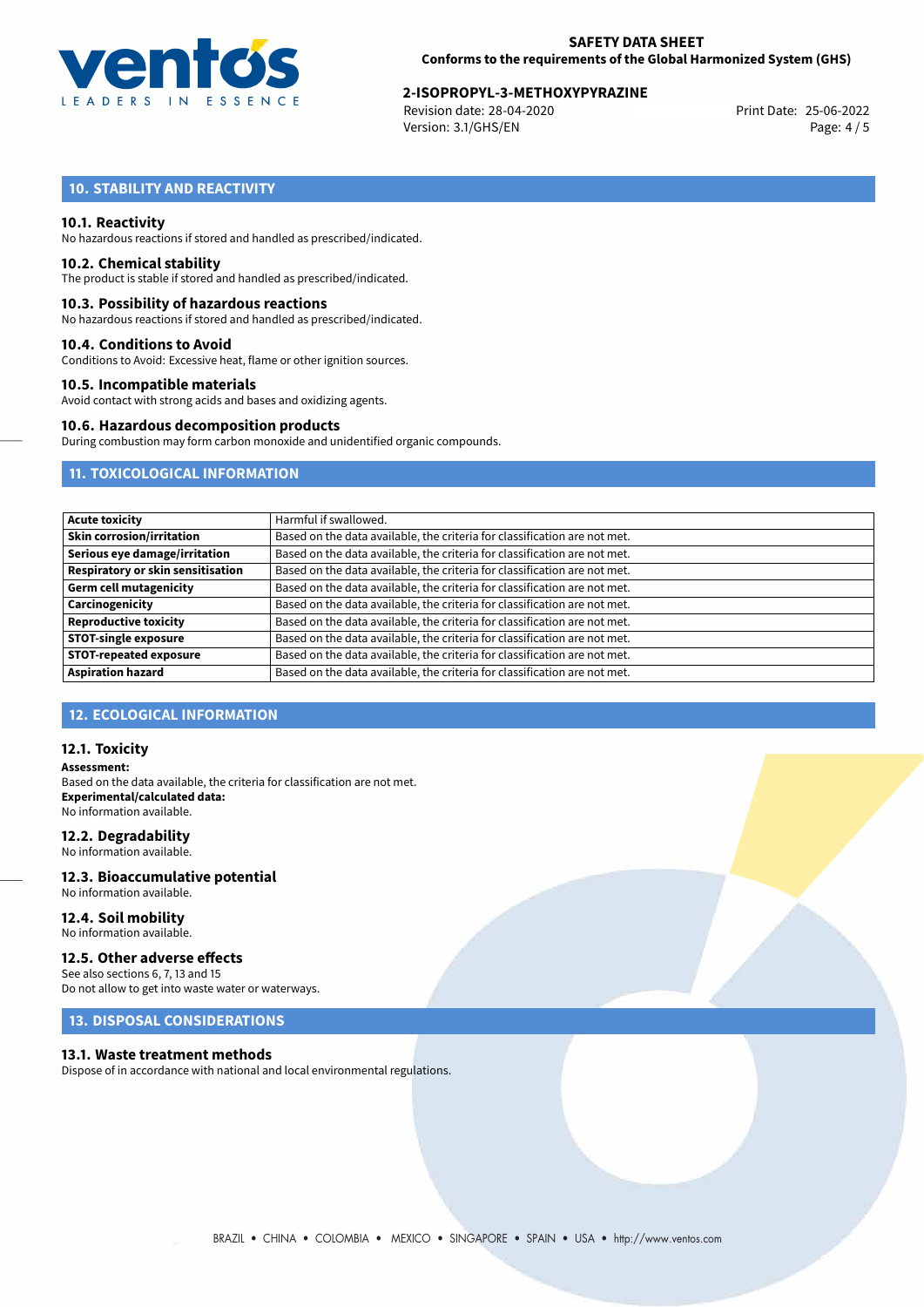

# 25-06-2022 **2-ISOPROPYL-3-METHOXYPYRAZINE**

Revision date: 28-04-2020 Version: 3.1/GHS/EN Page: 4 / 5

# **10. STABILITY AND REACTIVITY**

### **10.1. Reactivity**

No hazardous reactions if stored and handled as prescribed/indicated.

### **10.2. Chemical stability**

The product is stable if stored and handled as prescribed/indicated.

### **10.3. Possibility of hazardous reactions**

No hazardous reactions if stored and handled as prescribed/indicated.

### **10.4. Conditions to Avoid**

Conditions to Avoid: Excessive heat, flame or other ignition sources.

### **10.5. Incompatible materials**

Avoid contact with strong acids and bases and oxidizing agents.

### **10.6. Hazardous decomposition products**

During combustion may form carbon monoxide and unidentified organic compounds.

## **11. TOXICOLOGICAL INFORMATION**

| <b>Acute toxicity</b>             | Harmful if swallowed.                                                     |
|-----------------------------------|---------------------------------------------------------------------------|
| <b>Skin corrosion/irritation</b>  | Based on the data available, the criteria for classification are not met. |
| Serious eye damage/irritation     | Based on the data available, the criteria for classification are not met. |
| Respiratory or skin sensitisation | Based on the data available, the criteria for classification are not met. |
| <b>Germ cell mutagenicity</b>     | Based on the data available, the criteria for classification are not met. |
| Carcinogenicity                   | Based on the data available, the criteria for classification are not met. |
| <b>Reproductive toxicity</b>      | Based on the data available, the criteria for classification are not met. |
| <b>STOT-single exposure</b>       | Based on the data available, the criteria for classification are not met. |
| <b>STOT-repeated exposure</b>     | Based on the data available, the criteria for classification are not met. |
| <b>Aspiration hazard</b>          | Based on the data available, the criteria for classification are not met. |

### **12. ECOLOGICAL INFORMATION**

### **12.1. Toxicity**

**Assessment:** Based on the data available, the criteria for classification are not met. **Experimental/calculated data:** No information available.

### **12.2. Degradability**

No information available.

### **12.3. Bioaccumulative potential** No information available.

**12.4. Soil mobility**

# No information available.

## **12.5. Other adverse effects**

See also sections 6, 7, 13 and 15 Do not allow to get into waste water or waterways.

## **13. DISPOSAL CONSIDERATIONS**

### **13.1. Waste treatment methods**

Dispose of in accordance with national and local environmental regulations.